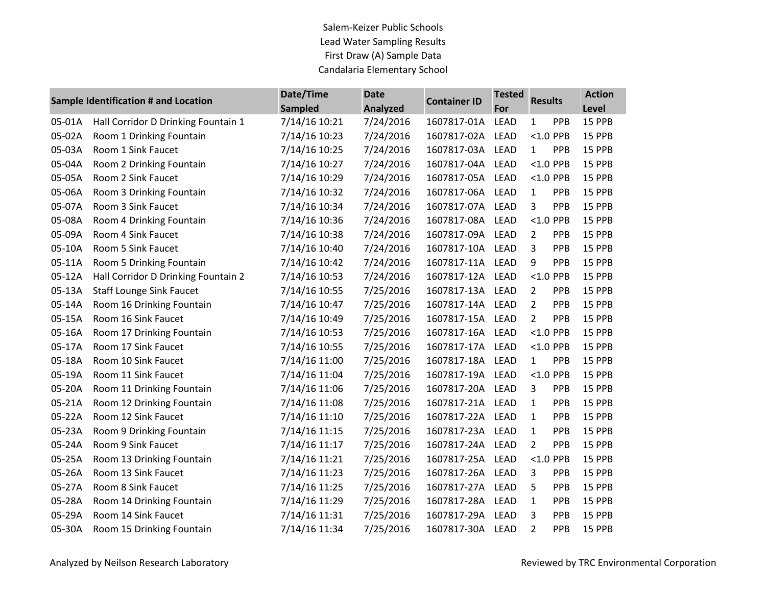Salem-Keizer Public Schools Lead Water Sampling Results First Draw (A) Sample Data Candalaria Elementary School

| Sample Identification # and Location |                                     | Date/Time      | <b>Date</b><br>Analyzed | <b>Container ID</b> | <b>Tested</b><br>For | <b>Results</b>        | <b>Action</b> |
|--------------------------------------|-------------------------------------|----------------|-------------------------|---------------------|----------------------|-----------------------|---------------|
|                                      |                                     | <b>Sampled</b> |                         |                     |                      |                       | Level         |
| 05-01A                               | Hall Corridor D Drinking Fountain 1 | 7/14/16 10:21  | 7/24/2016               | 1607817-01A         | <b>LEAD</b>          | PPB<br>$\mathbf{1}$   | 15 PPB        |
| 05-02A                               | Room 1 Drinking Fountain            | 7/14/16 10:23  | 7/24/2016               | 1607817-02A         | <b>LEAD</b>          | $<$ 1.0 PPB           | 15 PPB        |
| 05-03A                               | Room 1 Sink Faucet                  | 7/14/16 10:25  | 7/24/2016               | 1607817-03A         | <b>LEAD</b>          | PPB<br>1              | 15 PPB        |
| 05-04A                               | Room 2 Drinking Fountain            | 7/14/16 10:27  | 7/24/2016               | 1607817-04A         | LEAD                 | $<$ 1.0 PPB           | 15 PPB        |
| 05-05A                               | Room 2 Sink Faucet                  | 7/14/16 10:29  | 7/24/2016               | 1607817-05A         | <b>LEAD</b>          | $<$ 1.0 PPB           | 15 PPB        |
| 05-06A                               | Room 3 Drinking Fountain            | 7/14/16 10:32  | 7/24/2016               | 1607817-06A         | <b>LEAD</b>          | PPB<br>$\mathbf{1}$   | 15 PPB        |
| 05-07A                               | Room 3 Sink Faucet                  | 7/14/16 10:34  | 7/24/2016               | 1607817-07A         | LEAD                 | 3<br>PPB              | 15 PPB        |
| 05-08A                               | Room 4 Drinking Fountain            | 7/14/16 10:36  | 7/24/2016               | 1607817-08A         | <b>LEAD</b>          | $<$ 1.0 PPB           | 15 PPB        |
| 05-09A                               | Room 4 Sink Faucet                  | 7/14/16 10:38  | 7/24/2016               | 1607817-09A         | <b>LEAD</b>          | $\overline{2}$<br>PPB | 15 PPB        |
| 05-10A                               | Room 5 Sink Faucet                  | 7/14/16 10:40  | 7/24/2016               | 1607817-10A         | <b>LEAD</b>          | 3<br>PPB              | 15 PPB        |
| 05-11A                               | Room 5 Drinking Fountain            | 7/14/16 10:42  | 7/24/2016               | 1607817-11A         | LEAD                 | 9<br>PPB              | 15 PPB        |
| 05-12A                               | Hall Corridor D Drinking Fountain 2 | 7/14/16 10:53  | 7/24/2016               | 1607817-12A         | <b>LEAD</b>          | $<$ 1.0 PPB           | 15 PPB        |
| 05-13A                               | <b>Staff Lounge Sink Faucet</b>     | 7/14/16 10:55  | 7/25/2016               | 1607817-13A         | <b>LEAD</b>          | PPB<br>$\overline{2}$ | 15 PPB        |
| 05-14A                               | Room 16 Drinking Fountain           | 7/14/16 10:47  | 7/25/2016               | 1607817-14A         | <b>LEAD</b>          | PPB<br>$\overline{2}$ | 15 PPB        |
| 05-15A                               | Room 16 Sink Faucet                 | 7/14/16 10:49  | 7/25/2016               | 1607817-15A         | <b>LEAD</b>          | $\overline{2}$<br>PPB | 15 PPB        |
| 05-16A                               | Room 17 Drinking Fountain           | 7/14/16 10:53  | 7/25/2016               | 1607817-16A         | <b>LEAD</b>          | $<$ 1.0 PPB           | 15 PPB        |
| 05-17A                               | Room 17 Sink Faucet                 | 7/14/16 10:55  | 7/25/2016               | 1607817-17A         | <b>LEAD</b>          | $<$ 1.0 PPB           | 15 PPB        |
| 05-18A                               | Room 10 Sink Faucet                 | 7/14/16 11:00  | 7/25/2016               | 1607817-18A         | LEAD                 | PPB<br>$\mathbf{1}$   | 15 PPB        |
| 05-19A                               | Room 11 Sink Faucet                 | 7/14/16 11:04  | 7/25/2016               | 1607817-19A         | <b>LEAD</b>          | $<$ 1.0 PPB           | 15 PPB        |
| 05-20A                               | Room 11 Drinking Fountain           | 7/14/16 11:06  | 7/25/2016               | 1607817-20A         | <b>LEAD</b>          | 3<br>PPB              | 15 PPB        |
| 05-21A                               | Room 12 Drinking Fountain           | 7/14/16 11:08  | 7/25/2016               | 1607817-21A         | <b>LEAD</b>          | PPB<br>$\mathbf{1}$   | 15 PPB        |
| 05-22A                               | Room 12 Sink Faucet                 | 7/14/16 11:10  | 7/25/2016               | 1607817-22A         | LEAD                 | PPB<br>$\mathbf{1}$   | 15 PPB        |
| 05-23A                               | Room 9 Drinking Fountain            | 7/14/16 11:15  | 7/25/2016               | 1607817-23A         | LEAD                 | PPB<br>$\mathbf{1}$   | 15 PPB        |
| 05-24A                               | Room 9 Sink Faucet                  | 7/14/16 11:17  | 7/25/2016               | 1607817-24A         | <b>LEAD</b>          | PPB<br>$\overline{2}$ | 15 PPB        |
| 05-25A                               | Room 13 Drinking Fountain           | 7/14/16 11:21  | 7/25/2016               | 1607817-25A         | <b>LEAD</b>          | $<$ 1.0 PPB           | 15 PPB        |
| 05-26A                               | Room 13 Sink Faucet                 | 7/14/16 11:23  | 7/25/2016               | 1607817-26A         | <b>LEAD</b>          | 3<br>PPB              | 15 PPB        |
| 05-27A                               | Room 8 Sink Faucet                  | 7/14/16 11:25  | 7/25/2016               | 1607817-27A         | LEAD                 | PPB<br>5              | 15 PPB        |
| 05-28A                               | Room 14 Drinking Fountain           | 7/14/16 11:29  | 7/25/2016               | 1607817-28A         | <b>LEAD</b>          | PPB<br>$\mathbf{1}$   | 15 PPB        |
| 05-29A                               | Room 14 Sink Faucet                 | 7/14/16 11:31  | 7/25/2016               | 1607817-29A         | <b>LEAD</b>          | 3<br>PPB              | 15 PPB        |
| 05-30A                               | Room 15 Drinking Fountain           | 7/14/16 11:34  | 7/25/2016               | 1607817-30A         | <b>LEAD</b>          | $\overline{2}$<br>PPB | 15 PPB        |